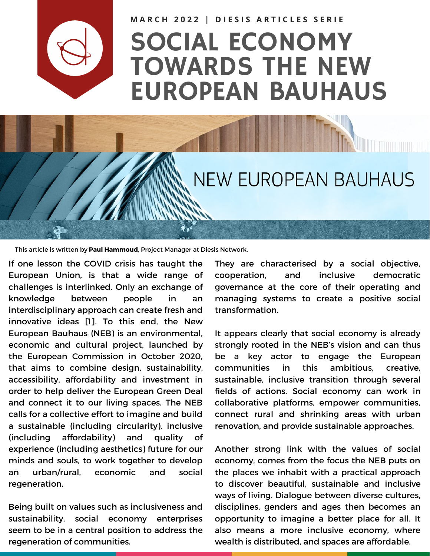

MARCH 2022 | DIESIS ARTICLES SERIE

## SOCIAL ECONOMY TOWARDS THE NEW EUROPEAN BAUHAUS

## **NEW EUROPEAN BAUHAUS**

This article is written by **Paul Hammoud**, Project Manager at Diesis Network.

If one lesson the COVID crisis has taught the European Union, is that a wide range of challenges is interlinked. Only an exchange of knowledge between people in an interdisciplinary approach can create fresh and innovative ideas [1]. To this end, the New European Bauhaus (NEB) is an environmental, economic and cultural project, launched by the European Commission in October 2020, that aims to combine design, sustainability, accessibility, affordability and investment in order to help deliver the European Green Deal and connect it to our living spaces. The NEB calls for a collective effort to imagine and build a sustainable (including circularity), inclusive (including affordability) and quality of experience (including aesthetics) future for our minds and souls, to work together to develop an urban/rural, economic and social regeneration.

Being built on values such as inclusiveness and sustainability, social economy enterprises seem to be in a central position to address the regeneration of communities.

They are characterised by a social objective, cooperation, and inclusive democratic governance at the core of their operating and managing systems to create a positive social transformation.

It appears clearly that social economy is already strongly rooted in the NEB's vision and can thus be a key actor to engage the European communities in this ambitious, creative, sustainable, inclusive transition through several fields of actions. Social economy can work in collaborative platforms, empower communities, connect rural and shrinking areas with urban renovation, and provide sustainable approaches.

Another strong link with the values of social economy, comes from the focus the NEB puts on the places we inhabit with a practical approach to discover beautiful, sustainable and inclusive ways of living. Dialogue between diverse cultures, disciplines, genders and ages then becomes an opportunity to imagine a better place for all. It also means a more inclusive economy, where wealth is distributed, and spaces are affordable.